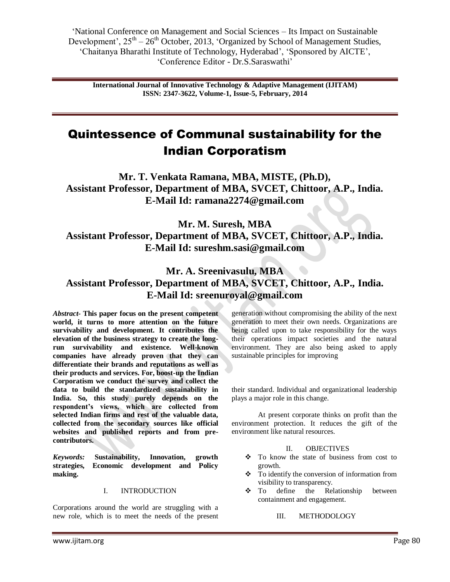"National Conference on Management and Social Sciences – Its Impact on Sustainable Development',  $25<sup>th</sup> - 26<sup>th</sup>$  October, 2013, 'Organized by School of Management Studies, "Chaitanya Bharathi Institute of Technology, Hyderabad", "Sponsored by AICTE", "Conference Editor - Dr.S.Saraswathi"

**International Journal of Innovative Technology & Adaptive Management (IJITAM) ISSN: 2347-3622, Volume-1, Issue-5, February, 2014**

# Quintessence of Communal sustainability for the Indian Corporatism

**Mr. T. Venkata Ramana, MBA, MISTE, (Ph.D), Assistant Professor, Department of MBA, SVCET, Chittoor, A.P., India. E-Mail Id: [ramana2274@gmail.com](mailto:ramana2274@gmail.com)**

**Mr. M. Suresh, MBA Assistant Professor, Department of MBA, SVCET, Chittoor, A.P., India. E-Mail Id: [sureshm.sasi@gmail.com](mailto:sureshm.sasi@gmail.com)**

# **Mr. A. Sreenivasulu, MBA Assistant Professor, Department of MBA, SVCET, Chittoor, A.P., India. E-Mail Id: [sreenuroyal@gmail.com](mailto:sreenuroyal@gmail.com)**

*Abstract-* **This paper focus on the present competent world, it turns to more attention on the future survivability and development. It contributes the elevation of the business strategy to create the longrun survivability and existence. Well-known companies have already proven that they can differentiate their brands and reputations as well as their products and services. For, boost-up the Indian Corporatism we conduct the survey and collect the data to build the standardized sustainability in India. So, this study purely depends on the respondent's views, which are collected from selected Indian firms and rest of the valuable data, collected from the secondary sources like official websites and published reports and from precontributors.**

*Keywords:* **Sustainability, Innovation, growth strategies, Economic development and Policy making.**

# I. INTRODUCTION

Corporations around the world are struggling with a new role, which is to meet the needs of the present generation without compromising the ability of the next generation to meet their own needs. Organizations are being called upon to take responsibility for the ways their operations impact societies and the natural environment. They are also being asked to apply sustainable principles for improving

their standard. Individual and organizational leadership plays a major role in this change.

At present corporate thinks on profit than the environment protection. It reduces the gift of the environment like natural resources.

# II. OBJECTIVES

- \* To know the state of business from cost to growth.
- To identify the conversion of information from visibility to transparency.
- To define the Relationship between containment and engagement.

III. METHODOLOGY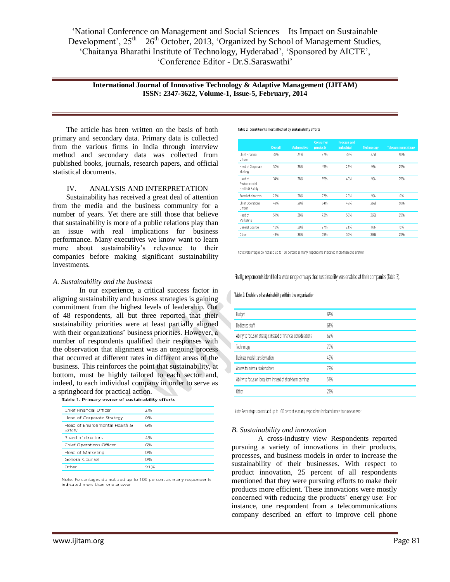"National Conference on Management and Social Sciences – Its Impact on Sustainable Development',  $25<sup>th</sup> - 26<sup>th</sup>$  October, 2013, 'Organized by School of Management Studies, "Chaitanya Bharathi Institute of Technology, Hyderabad", "Sponsored by AICTE", "Conference Editor - Dr.S.Saraswathi"

## **International Journal of Innovative Technology & Adaptive Management (IJITAM) ISSN: 2347-3622, Volume-1, Issue-5, February, 2014**

The article has been written on the basis of both primary and secondary data. Primary data is collected from the various firms in India through interview method and secondary data was collected from published books, journals, research papers, and official statistical documents.

# IV. ANALYSIS AND INTERPRETATION

Sustainability has received a great deal of attention from the media and the business community for a number of years. Yet there are still those that believe that sustainability is more of a public relations play than an issue with real implications for business performance. Many executives we know want to learn more about sustainability"s relevance to their companies before making significant sustainability investments.

### *A. Sustainability and the business*

In our experience, a critical success factor in aligning sustainability and business strategies is gaining commitment from the highest levels of leadership. Out of 48 respondents, all but three reported that their sustainability priorities were at least partially aligned with their organizations' business priorities. However, a number of respondents qualified their responses with the observation that alignment was an ongoing process that occurred at different rates in different areas of the business. This reinforces the point that sustainability, at bottom, must be highly tailored to each sector and, indeed, to each individual company in order to serve as a springboard for practical action.

|  | Table 1. Primary owner of sustainability efforts |  |  |  |
|--|--------------------------------------------------|--|--|--|

| Chief Financial Officer                  | 2%  |
|------------------------------------------|-----|
| Head of Corporate Strategy               | 0%  |
| Head of Environmental Health &<br>Safetv | 6%  |
| Board of directors                       | 4%  |
| Chief Operations Officer                 | 6%  |
| Head of Marketing                        | 0%  |
| General Counsel                          | 0%  |
| Other                                    | 91% |
|                                          |     |

Note: Percentages do not add up to 100 percent as many respondents indicated more than one answer.

Table 2. Constituents most affected by sustainability efforts

|                                             | <b>Overall</b> | <b>Automotive</b> | <b>Consumer</b><br>products | <b>Process and</b><br>industrial | <b>Technology</b> | <b>Telecommunications</b> |
|---------------------------------------------|----------------|-------------------|-----------------------------|----------------------------------|-------------------|---------------------------|
| Chief Financial<br>Officer                  | 32%            | 25%               | 27%                         | 36%                              | 27%               | 50%                       |
| Head of Corporate<br>Strategy               | 30%            | 38%               | 45%                         | 29%                              | 9%                | 25%                       |
| Head of<br>Environmental<br>Health & Safety | 34%            | 38%               | 55%                         | 43%                              | 9%                | 25%                       |
| Board of directors                          | 23%            | 38%               | 27%                         | 29%                              | 9%                | 0%                        |
| Chief Operations<br>Officer                 | 43%            | 38%               | 64%                         | 43%                              | 36%               | 50%                       |
| Head of<br>Marketing                        | 51%            | 38%               | 73%                         | 50%                              | 36%               | 75%                       |
| General Counsel                             | 19%            | 38%               | 27%                         | 21%                              | 0%                | 0%                        |
| Other                                       | 49%            | 38%               | 55%                         | 50%                              | 36%               | 75%                       |

Note: Percentages do not add up to 100 percent as many respondents indicated more than one answer.

Finally, respondents identified a wide range of ways that sustainability was enabled at their companies (Table 3).

#### Table 3. Enablers of sustainability within the organization

| Budget                                                            | 68% |
|-------------------------------------------------------------------|-----|
| Dedicated staff                                                   | 64% |
| Ability to focus on strategic instead of financial considerations | 62% |
| Technology                                                        | 79% |
| Business model transformation                                     | 43% |
| Access to internal stakeholders                                   | 79% |
| Ability to focus on long-term instead of short-term earnings      | 57% |
| Other                                                             | 21% |

Note: Percentages do not add up to 100 percent as many respondents indicated more than one answer.

#### *B. Sustainability and innovation*

A cross-industry view Respondents reported pursuing a variety of innovations in their products, processes, and business models in order to increase the sustainability of their businesses. With respect to product innovation, 25 percent of all respondents mentioned that they were pursuing efforts to make their products more efficient. These innovations were mostly concerned with reducing the products' energy use: For instance, one respondent from a telecommunications company described an effort to improve cell phone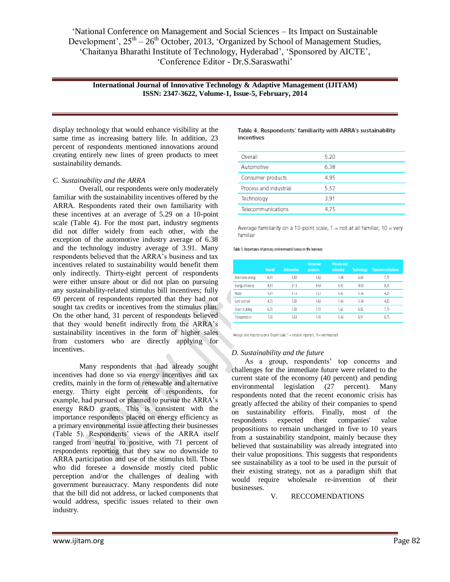"National Conference on Management and Social Sciences – Its Impact on Sustainable Development',  $25<sup>th</sup> - 26<sup>th</sup>$  October, 2013, 'Organized by School of Management Studies, "Chaitanya Bharathi Institute of Technology, Hyderabad", "Sponsored by AICTE", "Conference Editor - Dr.S.Saraswathi"

**International Journal of Innovative Technology & Adaptive Management (IJITAM) ISSN: 2347-3622, Volume-1, Issue-5, February, 2014**

display technology that would enhance visibility at the same time as increasing battery life. In addition, 23 percent of respondents mentioned innovations around creating entirely new lines of green products to meet sustainability demands.

# *C. Sustainability and the ARRA*

Overall, our respondents were only moderately familiar with the sustainability incentives offered by the ARRA. Respondents rated their own familiarity with these incentives at an average of 5.29 on a 10-point scale (Table 4). For the most part, industry segments did not differ widely from each other, with the exception of the automotive industry average of 6.38 and the technology industry average of 3.91. Many respondents believed that the ARRA"s business and tax incentives related to sustainability would benefit them only indirectly. Thirty-eight percent of respondents were either unsure about or did not plan on pursuing any sustainability-related stimulus bill incentives; fully 69 percent of respondents reported that they had not sought tax credits or incentives from the stimulus plan. On the other hand, 31 percent of respondents believed that they would benefit indirectly from the ARRA's sustainability incentives in the form of higher sales from customers who are directly applying for incentives.

Many respondents that had already sought incentives had done so via energy incentives and tax credits, mainly in the form of renewable and alternative energy. Thirty eight percent of respondents, for example, had pursued or planned to pursue the ARRA's energy R&D grants. This is consistent with the importance respondents placed on energy efficiency as a primary environmental issue affecting their businesses (Table 5). Respondents" views of the ARRA itself ranged from neutral to positive, with 71 percent of respondents reporting that they saw no downside to ARRA participation and use of the stimulus bill. Those who did foresee a downside mostly cited public perception and/or the challenges of dealing with government bureaucracy. Many respondents did note that the bill did not address, or lacked components that would address, specific issues related to their own industry.

Table 4. Respondents' familiarity with ARRA's sustainability incentives

| Overall                | 5.20 |
|------------------------|------|
| Automotive             | 6.38 |
| Consumer products      | 4.95 |
| Process and industrial | 5.57 |
| Technology             | 3.91 |
| Telecommunications     | 475  |

Average familiarity on a 10-point scale,  $1 =$  not at all familiar,  $10 =$ very familiar

Table 5. Importance of primary environmental issues on the business

|                    | Overall | Automotive | <b>Consumer</b><br><b>products</b> | <b>Process and</b><br><b>industrial</b> | <b>Technology</b> | <b>Telecommunications</b> |
|--------------------|---------|------------|------------------------------------|-----------------------------------------|-------------------|---------------------------|
| Alternative energy | 6.91    | 6.50       | 6.82                               | 7.08                                    | 6.64              | 7.75                      |
| Energy efficiency  | 8.93    | 9.13       | 8.64                               | 8.92                                    | 9.00              | 9.25                      |
| Water              | 5.91    | 4.13       | 7.27                               | 6.92                                    | 5.36              | 4.25                      |
| Land and soil      | 4.35    | 3.00       | 4.82                               | 5.46                                    | 3.36              | 4.00                      |
| Green building     | 6.35    | 7.00       | 5.55                               | 5.62                                    | 6.82              | 7.75                      |
| Transportation     | 7.00    | 7.63       | 7.45                               | 6.46                                    | 6.91              | 6.75                      |

Average rated importance on a 10-point scale, 1 = not at all important, 10 = very important

## *D. Sustainability and the future*

As a group, respondents' top concerns and challenges for the immediate future were related to the current state of the economy (40 percent) and pending environmental legislation (27 percent). Many respondents noted that the recent economic crisis has greatly affected the ability of their companies to spend on sustainability efforts. Finally, most of the respondents expected their companies' value propositions to remain unchanged in five to 10 years from a sustainability standpoint, mainly because they believed that sustainability was already integrated into their value propositions. This suggests that respondents see sustainability as a tool to be used in the pursuit of their existing strategy, not as a paradigm shift that would require wholesale re-invention of their businesses.

## V. RECCOMENDATIONS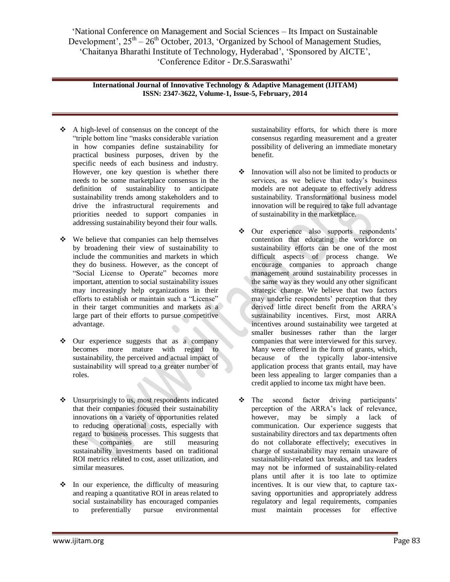"National Conference on Management and Social Sciences – Its Impact on Sustainable Development',  $25<sup>th</sup> - 26<sup>th</sup>$  October, 2013, 'Organized by School of Management Studies, 'Chaitanya Bharathi Institute of Technology, Hyderabad', 'Sponsored by AICTE', "Conference Editor - Dr.S.Saraswathi"

**International Journal of Innovative Technology & Adaptive Management (IJITAM) ISSN: 2347-3622, Volume-1, Issue-5, February, 2014**

- A high-level of consensus on the concept of the "triple bottom line "masks considerable variation in how companies define sustainability for practical business purposes, driven by the specific needs of each business and industry. However, one key question is whether there needs to be some marketplace consensus in the definition of sustainability to anticipate sustainability trends among stakeholders and to drive the infrastructural requirements and priorities needed to support companies in addressing sustainability beyond their four walls.
- $\div$  We believe that companies can help themselves by broadening their view of sustainability to include the communities and markets in which they do business. However, as the concept of "Social License to Operate" becomes more important, attention to social sustainability issues may increasingly help organizations in their efforts to establish or maintain such a "License" in their target communities and markets as a large part of their efforts to pursue competitive advantage.
- $\div$  Our experience suggests that as a company becomes more mature with regard to sustainability, the perceived and actual impact of sustainability will spread to a greater number of roles.
- Unsurprisingly to us, most respondents indicated that their companies focused their sustainability innovations on a variety of opportunities related to reducing operational costs, especially with regard to business processes. This suggests that these companies are still measuring sustainability investments based on traditional ROI metrics related to cost, asset utilization, and similar measures.
- $\cdot \cdot$  In our experience, the difficulty of measuring and reaping a quantitative ROI in areas related to social sustainability has encouraged companies to preferentially pursue environmental

sustainability efforts, for which there is more consensus regarding measurement and a greater possibility of delivering an immediate monetary benefit.

- $\cdot \cdot$  Innovation will also not be limited to products or services, as we believe that today's business models are not adequate to effectively address sustainability. Transformational business model innovation will be required to take full advantage of sustainability in the marketplace.
- Our experience also supports respondents' contention that educating the workforce on sustainability efforts can be one of the most difficult aspects of process change. We encourage companies to approach change management around sustainability processes in the same way as they would any other significant strategic change. We believe that two factors may underlie respondents' perception that they derived little direct benefit from the ARRA's sustainability incentives. First, most ARRA incentives around sustainability wee targeted at smaller businesses rather than the larger companies that were interviewed for this survey. Many were offered in the form of grants, which, because of the typically labor-intensive application process that grants entail, may have been less appealing to larger companies than a credit applied to income tax might have been.
- The second factor driving participants' perception of the ARRA"s lack of relevance, however, may be simply a lack of communication. Our experience suggests that sustainability directors and tax departments often do not collaborate effectively; executives in charge of sustainability may remain unaware of sustainability-related tax breaks, and tax leaders may not be informed of sustainability-related plans until after it is too late to optimize incentives. It is our view that, to capture taxsaving opportunities and appropriately address regulatory and legal requirements, companies must maintain processes for effective